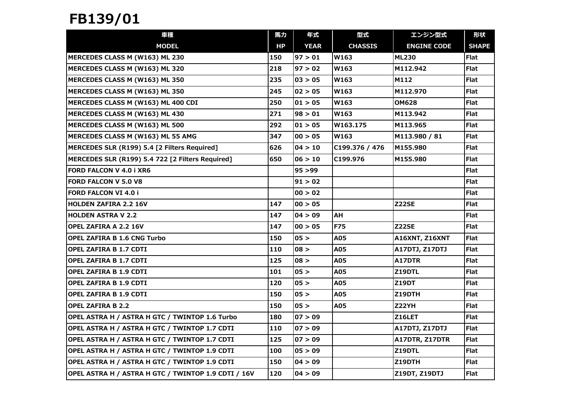## FB139/01

| 車種                                                  | 馬力  | 年式          | 型式             | エンジン型式                | 形状           |
|-----------------------------------------------------|-----|-------------|----------------|-----------------------|--------------|
| <b>MODEL</b>                                        | HP. | <b>YEAR</b> | <b>CHASSIS</b> | <b>ENGINE CODE</b>    | <b>SHAPE</b> |
| MERCEDES CLASS M (W163) ML 230                      | 150 | 97 > 01     | W163           | <b>ML230</b>          | <b>Flat</b>  |
| MERCEDES CLASS M (W163) ML 320                      | 218 | 97 > 02     | W163           | M112.942              | <b>Flat</b>  |
| MERCEDES CLASS M (W163) ML 350                      | 235 | 03 > 05     | W163           | M112                  | Flat         |
| MERCEDES CLASS M (W163) ML 350                      | 245 | 02 > 05     | W163           | M112.970              | <b>Flat</b>  |
| MERCEDES CLASS M (W163) ML 400 CDI                  | 250 | 01 > 05     | W163           | <b>OM628</b>          | <b>Flat</b>  |
| MERCEDES CLASS M (W163) ML 430                      | 271 | 98 > 01     | W163           | M113.942              | <b>Flat</b>  |
| MERCEDES CLASS M (W163) ML 500                      | 292 | 01 > 05     | W163.175       | M113.965              | <b>Flat</b>  |
| MERCEDES CLASS M (W163) ML 55 AMG                   | 347 | 00 > 05     | W163           | M113.980 / 81         | <b>Flat</b>  |
| MERCEDES SLR (R199) 5.4 [2 Filters Required]        | 626 | 04 > 10     | C199.376 / 476 | M155.980              | <b>Flat</b>  |
| MERCEDES SLR (R199) 5.4 722 [2 Filters Required]    | 650 | 06 > 10     | C199.976       | M155.980              | <b>Flat</b>  |
| FORD FALCON V 4.0 i XR6                             |     | 95 > 99     |                |                       | <b>Flat</b>  |
| <b>FORD FALCON V 5.0 V8</b>                         |     | 91 > 02     |                |                       | <b>Flat</b>  |
| <b>FORD FALCON VI 4.0 i</b>                         |     | 00 > 02     |                |                       | <b>Flat</b>  |
| <b>HOLDEN ZAFIRA 2.2 16V</b>                        | 147 | 00 > 05     |                | Z22SE                 | <b>Flat</b>  |
| <b>HOLDEN ASTRA V 2.2</b>                           | 147 | 04 > 09     | AН             |                       | <b>Flat</b>  |
| <b>OPEL ZAFIRA A 2.2 16V</b>                        | 147 | 00 > 05     | <b>F75</b>     | <b>Z22SE</b>          | <b>Flat</b>  |
| <b>OPEL ZAFIRA B 1.6 CNG Turbo</b>                  | 150 | 05 >        | A05            | A16XNT, Z16XNT        | <b>Flat</b>  |
| OPEL ZAFIRA B 1.7 CDTI                              | 110 | 08 >        | A05            | A17DTJ, Z17DTJ        | <b>Flat</b>  |
| <b>OPEL ZAFIRA B 1.7 CDTI</b>                       | 125 | 08 >        | A05            | A17DTR                | <b>Flat</b>  |
| <b>OPEL ZAFIRA B 1.9 CDTI</b>                       | 101 | 05 >        | A05            | Z19DTL                | <b>Flat</b>  |
| OPEL ZAFIRA B 1.9 CDTI                              | 120 | 05 >        | A05            | <b>Z19DT</b>          | <b>Flat</b>  |
| <b>OPEL ZAFIRA B 1.9 CDTI</b>                       | 150 | 05 >        | A05            | Z19DTH                | <b>Flat</b>  |
| <b>OPEL ZAFIRA B 2.2</b>                            | 150 | 05 >        | A05            | Z22YH                 | Flat         |
| OPEL ASTRA H / ASTRA H GTC / TWINTOP 1.6 Turbo      | 180 | 07 > 09     |                | Z16LET                | <b>Flat</b>  |
| OPEL ASTRA H / ASTRA H GTC / TWINTOP 1.7 CDTI       | 110 | 07 > 09     |                | <b>A17DTJ, Z17DTJ</b> | <b>Flat</b>  |
| OPEL ASTRA H / ASTRA H GTC / TWINTOP 1.7 CDTI       | 125 | 07 > 09     |                | A17DTR, Z17DTR        | <b>Flat</b>  |
| OPEL ASTRA H / ASTRA H GTC / TWINTOP 1.9 CDTI       | 100 | 05 > 09     |                | Z19DTL                | <b>Flat</b>  |
| OPEL ASTRA H / ASTRA H GTC / TWINTOP 1.9 CDTI       | 150 | 04 > 09     |                | Z19DTH                | <b>Flat</b>  |
| OPEL ASTRA H / ASTRA H GTC / TWINTOP 1.9 CDTI / 16V | 120 | 04 > 09     |                | Z19DT, Z19DTJ         | <b>Flat</b>  |